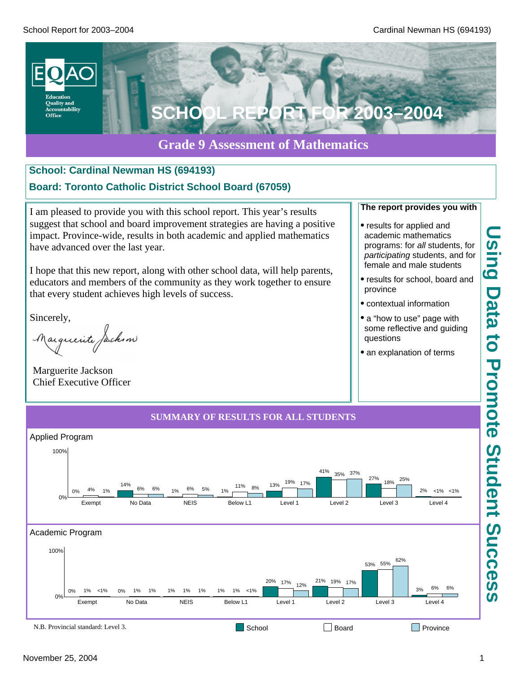

### **Grade 9 Assessment of Mathematics**

# **School: Cardinal Newman HS (694193)**

### **Board: Toronto Catholic District School Board (67059)**

I am pleased to provide you with this school report. This year's results suggest that school and board improvement strategies are having a positive impact. Province-wide, results in both academic and applied mathematics have advanced over the last year.

I hope that this new report, along with other school data, will help parents, educators and members of the community as they work together to ensure that every student achieves high levels of success.

Sincerely,

Marguerite Jackson

Marguerite Jackson Chief Executive Officer

### **The report provides you with**

- · results for applied and academic mathematics programs: for *all* students, for *participating* students, and for female and male students
- · results for school, board and province
- · contextual information
- a "how to use" page with some reflective and guiding questions
- an explanation of terms

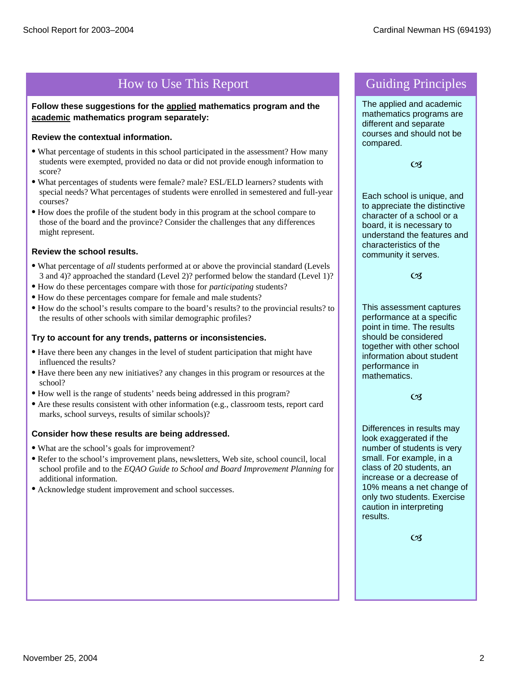## How to Use This Report Guiding Principles

**Follow these suggestions for the applied mathematics program and the academic mathematics program separately:**

### **Review the contextual information.**

- · What percentage of students in this school participated in the assessment? How many students were exempted, provided no data or did not provide enough information to score?
- · What percentages of students were female? male? ESL/ELD learners? students with special needs? What percentages of students were enrolled in semestered and full-year courses?
- · How does the profile of the student body in this program at the school compare to those of the board and the province? Consider the challenges that any differences might represent.

### **Review the school results.**

- · What percentage of *all* students performed at or above the provincial standard (Levels 3 and 4)? approached the standard (Level 2)? performed below the standard (Level 1)?
- · How do these percentages compare with those for *participating* students?
- · How do these percentages compare for female and male students?
- · How do the school's results compare to the board's results? to the provincial results? to the results of other schools with similar demographic profiles?

#### **Try to account for any trends, patterns or inconsistencies.**

- · Have there been any changes in the level of student participation that might have influenced the results?
- · Have there been any new initiatives? any changes in this program or resources at the school?
- · How well is the range of students' needs being addressed in this program?
- · Are these results consistent with other information (e.g., classroom tests, report card marks, school surveys, results of similar schools)?

#### **Consider how these results are being addressed.**

- · What are the school's goals for improvement?
- · Refer to the school's improvement plans, newsletters, Web site, school council, local school profile and to the *EQAO Guide to School and Board Improvement Planning* for additional information.
- · Acknowledge student improvement and school successes.

The applied and academic mathematics programs are different and separate courses and should not be compared.

 $CZ$ 

Each school is unique, and to appreciate the distinctive character of a school or a board, it is necessary to understand the features and characteristics of the community it serves.

 $C<sub>3</sub>$ 

This assessment captures performance at a specific point in time. The results should be considered together with other school information about student performance in mathematics.

 $CZ$ 

Differences in results may look exaggerated if the number of students is very small. For example, in a class of 20 students, an increase or a decrease of 10% means a net change of only two students. Exercise caution in interpreting results.

 $\overline{\mathcal{C}}$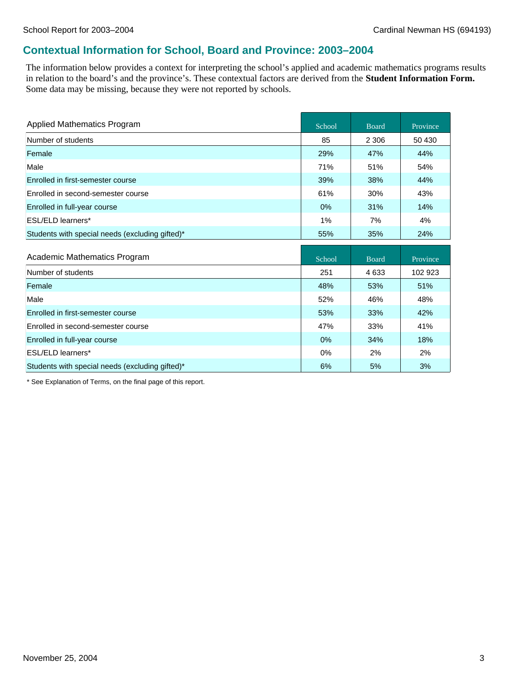### **Contextual Information for School, Board and Province: 2003–2004**

The information below provides a context for interpreting the school's applied and academic mathematics programs results in relation to the board's and the province's. These contextual factors are derived from the **Student Information Form.** Some data may be missing, because they were not reported by schools.

| Applied Mathematics Program                     | School | <b>Board</b> | Province |
|-------------------------------------------------|--------|--------------|----------|
| Number of students                              | 85     | 2 3 0 6      | 50 430   |
| Female                                          | 29%    | 47%          | 44%      |
| Male                                            | 71%    | 51%          | 54%      |
| Enrolled in first-semester course               | 39%    | 38%          | 44%      |
| Enrolled in second-semester course              | 61%    | 30%          | 43%      |
| Enrolled in full-year course                    | 0%     | 31%          | 14%      |
| <b>ESL/ELD learners*</b>                        | 1%     | 7%           | 4%       |
| Students with special needs (excluding gifted)* | 55%    | 35%          | 24%      |
|                                                 |        |              |          |
|                                                 |        |              |          |
| Academic Mathematics Program                    | School | <b>Board</b> | Province |
| Number of students                              | 251    | 4633         | 102 923  |
| Female                                          | 48%    | 53%          | 51%      |
| Male                                            | 52%    | 46%          | 48%      |
| Enrolled in first-semester course               | 53%    | 33%          | 42%      |
| Enrolled in second-semester course              | 47%    | 33%          | 41%      |
| Enrolled in full-year course                    | 0%     | 34%          | 18%      |
| <b>ESL/ELD learners*</b>                        | 0%     | 2%           | 2%       |

\* See Explanation of Terms, on the final page of this report.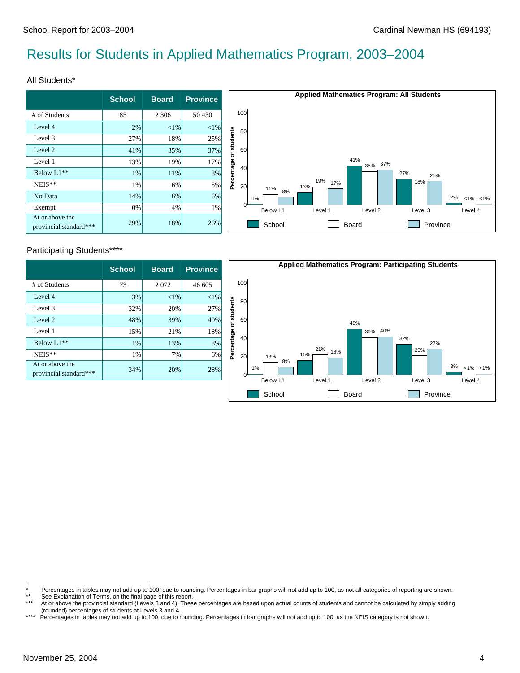# Results for Students in Applied Mathematics Program, 2003–2004

#### All Students\*

|                                           | <b>School</b> | <b>Board</b> | <b>Province</b> |
|-------------------------------------------|---------------|--------------|-----------------|
| # of Students                             | 85            | 2 3 0 6      | 50 430          |
| Level 4                                   | 2%            | ${<}1\%$     | $< 1\%$         |
| Level 3                                   | 27%           | 18%          | 25%             |
| Level 2                                   | 41%           | 35%          | 37%             |
| Level 1                                   | 13%           | 19%          | 17%             |
| Below L1 <sup>**</sup>                    | 1%            | 11%          | 8%              |
| NEIS**                                    | 1%            | 6%           | 5%              |
| No Data                                   | 14%           | 6%           | 6%              |
| Exempt                                    | 0%            | 4%           | 1%              |
| At or above the<br>provincial standard*** | 29%           | 18%          | 26%             |



### Participating Students\*\*\*\*

|                                           | <b>School</b> | <b>Board</b> | <b>Province</b> |
|-------------------------------------------|---------------|--------------|-----------------|
| # of Students                             | 73            | 2072         | 46 605          |
| Level 4                                   | 3%            | ${<}1\%$     | $< 1\%$         |
| Level 3                                   | 32%           | 20%          | 27%             |
| Level 2                                   | 48%           | 39%          | 40%             |
| Level 1                                   | 15%           | 21%          | 18%             |
| Below L1**                                | 1%            | 13%          | 8%              |
| NEIS**                                    | 1%            | 7%           | 6%              |
| At or above the<br>provincial standard*** | 34%           | 20%          | 28%             |



<sup>\*</sup> Percentages in tables may not add up to 100, due to rounding. Percentages in bar graphs will not add up to 100, as not all categories of reporting are shown.<br>\*\* See Explanation of Terms, on the final page of this report

<sup>\*\*</sup> See Explanation of Terms, on the final page of this report.

At or above the provincial standard (Levels 3 and 4). These percentages are based upon actual counts of students and cannot be calculated by simply adding (rounded) percentages of students at Levels 3 and 4.

<sup>\*\*\*\*</sup> Percentages in tables may not add up to 100, due to rounding. Percentages in bar graphs will not add up to 100, as the NEIS category is not shown.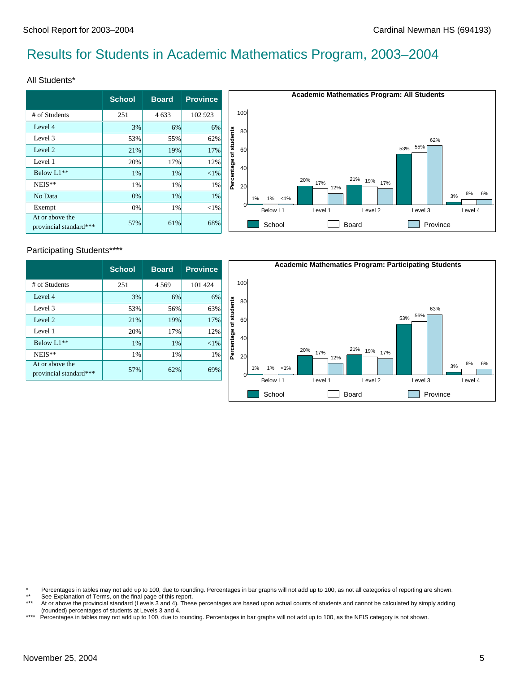## Results for Students in Academic Mathematics Program, 2003–2004

#### All Students\*

|                                           | <b>School</b> | <b>Board</b> | <b>Province</b> |  |
|-------------------------------------------|---------------|--------------|-----------------|--|
| # of Students                             | 251           | 4 6 3 3      | 102 923         |  |
| Level 4                                   | 3%            | 6%           | 6%              |  |
| Level 3                                   | 53%           | 55%          | 62%             |  |
| Level 2                                   | 21%           | 19%          | 17%             |  |
| Level 1                                   | 20%           | 17%          | 12%             |  |
| Below L1 <sup>**</sup>                    | 1%            | 1%           | $< 1\%$         |  |
| NEIS**                                    | 1%            | 1%           | 1%              |  |
| No Data                                   | 0%            | 1%           | 1%              |  |
| Exempt                                    | 0%            | 1%           | $<$ 1%          |  |
| At or above the<br>provincial standard*** | 57%           | 61%          | 68%             |  |



### Participating Students\*\*\*\*

|                                           | <b>School</b> | <b>Board</b> | <b>Province</b> |
|-------------------------------------------|---------------|--------------|-----------------|
| # of Students                             | 251           | 4 5 6 9      | 101 424         |
| Level 4                                   | 3%            | 6%           | 6%              |
| Level 3                                   | 53%           | 56%          | 63%             |
| Level 2                                   | 21%           | 19%          | 17%             |
| Level 1                                   | 20%           | 17%          | 12%             |
| Below L1 <sup>**</sup>                    | 1%            | 1%           | $<$ 1%          |
| NEIS**                                    | 1%            | 1%           | 1%              |
| At or above the<br>provincial standard*** | 57%           | 62%          | 69%             |



<sup>\*</sup> Percentages in tables may not add up to 100, due to rounding. Percentages in bar graphs will not add up to 100, as not all categories of reporting are shown.<br>\*\* See Explanation of Terms, on the final page of this report

<sup>\*\*</sup> See Explanation of Terms, on the final page of this report.

At or above the provincial standard (Levels 3 and 4). These percentages are based upon actual counts of students and cannot be calculated by simply adding (rounded) percentages of students at Levels 3 and 4.

<sup>\*\*\*\*</sup> Percentages in tables may not add up to 100, due to rounding. Percentages in bar graphs will not add up to 100, as the NEIS category is not shown.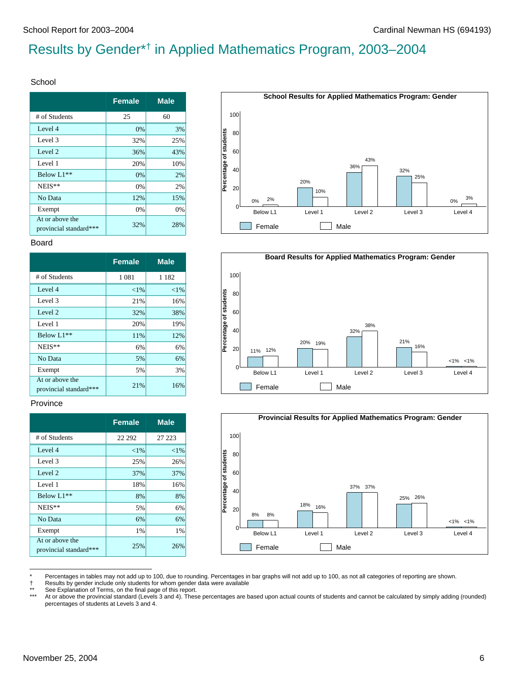# Results by Gender\*† in Applied Mathematics Program, 2003–2004

#### School

|                                           | <b>Female</b> | <b>Male</b> |
|-------------------------------------------|---------------|-------------|
| # of Students                             | 25            | 60          |
| Level 4                                   | 0%            | 3%          |
| Level 3                                   | 32%           | 25%         |
| Level 2                                   | 36%           | 43%         |
| Level 1                                   | 20%           | 10%         |
| Below L1**                                | 0%            | 2%          |
| NEIS**                                    | 0%            | 2%          |
| No Data                                   | 12%           | 15%         |
| Exempt                                    | 0%            | 0%          |
| At or above the<br>provincial standard*** | 32%           | 28%         |

#### Board

|                                           | <b>Female</b> | <b>Male</b> |
|-------------------------------------------|---------------|-------------|
| # of Students                             | 1 0 8 1       | 1 1 8 2     |
| Level 4                                   | ${<}1\%$      | $< 1\%$     |
| Level 3                                   | 21%           | 16%         |
| Level 2                                   | 32%           | 38%         |
| Level 1                                   | 20%           | 19%         |
| Below L1**                                | 11%           | 12%         |
| NEIS**                                    | 6%            | 6%          |
| No Data                                   | 5%            | 6%          |
| Exempt                                    | 5%            | 3%          |
| At or above the<br>provincial standard*** | 21%           | 16%         |

#### Province

|                                           | <b>Female</b> | <b>Male</b> |
|-------------------------------------------|---------------|-------------|
| # of Students                             | 22 29 2       | 27 223      |
| Level 4                                   | ${<}1\%$      | ${<}1\%$    |
| Level 3                                   | 25%           | 26%         |
| Level 2                                   | 37%           | 37%         |
| Level 1                                   | 18%           | 16%         |
| Below L1**                                | 8%            | 8%          |
| NEIS**                                    | 5%            | 6%          |
| No Data                                   | 6%            | 6%          |
| Exempt                                    | 1%            | 1%          |
| At or above the<br>provincial standard*** | 25%           | 26%         |







Percentages in tables may not add up to 100, due to rounding. Percentages in bar graphs will not add up to 100, as not all categories of reporting are shown.

† Results by gender include only students for whom gender data were available

\*\* See Explanation of Terms, on the final page of this report.<br>\*\*\* At or above the provincial standard (Levels 3 and 4). These

At or above the provincial standard (Levels 3 and 4). These percentages are based upon actual counts of students and cannot be calculated by simply adding (rounded) percentages of students at Levels 3 and 4.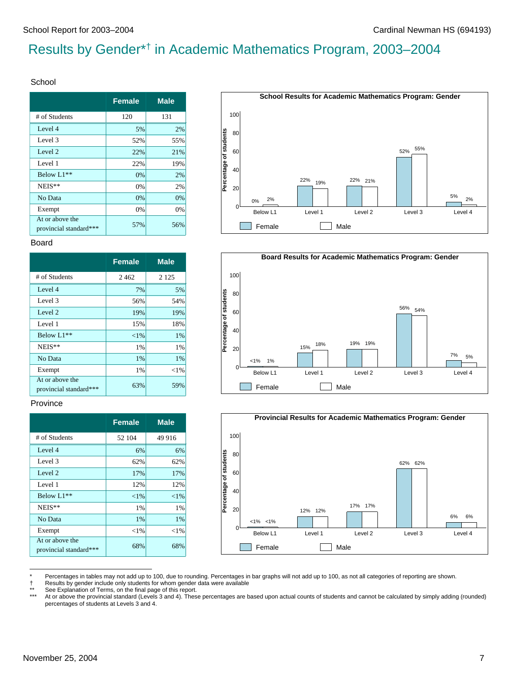# Results by Gender\*† in Academic Mathematics Program, 2003–2004

#### School

|                                           | <b>Female</b> | <b>Male</b> |
|-------------------------------------------|---------------|-------------|
| # of Students                             | 120           | 131         |
| Level 4                                   | 5%            | 2%          |
| Level 3                                   | 52%           | 55%         |
| Level 2                                   | 22%           | 21%         |
| Level 1                                   | 22%           | 19%         |
| Below L1**                                | 0%            | 2%          |
| NEIS**                                    | 0%            | 2%          |
| No Data                                   | 0%            | 0%          |
| Exempt                                    | 0%            | 0%          |
| At or above the<br>provincial standard*** | 57%           | 56%         |

#### Board

|                                           | <b>Female</b> | <b>Male</b> |
|-------------------------------------------|---------------|-------------|
| # of Students                             | 2462          | 2 1 2 5     |
| Level 4                                   | 7%            | 5%          |
| Level 3                                   | 56%           | 54%         |
| Level 2                                   | 19%           | 19%         |
| Level 1                                   | 15%           | 18%         |
| Below L1**                                | ${<}1\%$      | 1%          |
| NEIS**                                    | 1%            | 1%          |
| No Data                                   | 1%            | 1%          |
| Exempt                                    | 1%            | ${<}1\%$    |
| At or above the<br>provincial standard*** | 63%           | 59%         |

#### Province

|                                           | <b>Female</b> | <b>Male</b> |
|-------------------------------------------|---------------|-------------|
| # of Students                             | 52 104        | 49 916      |
| Level 4                                   | 6%            | 6%          |
| Level 3                                   | 62%           | 62%         |
| Level 2                                   | 17%           | 17%         |
| Level 1                                   | 12%           | 12%         |
| Below L1**                                | ${<}1\%$      | ${<}1\%$    |
| NEIS**                                    | 1%            | 1%          |
| No Data                                   | 1%            | 1%          |
| Exempt                                    | $<$ 1%        | ${<}1\%$    |
| At or above the<br>provincial standard*** | 68%           | 68%         |







Percentages in tables may not add up to 100, due to rounding. Percentages in bar graphs will not add up to 100, as not all categories of reporting are shown.

† Results by gender include only students for whom gender data were available

\*\* See Explanation of Terms, on the final page of this report.<br>\*\*\* At or above the provincial standard (Levels 3 and 4). These

At or above the provincial standard (Levels 3 and 4). These percentages are based upon actual counts of students and cannot be calculated by simply adding (rounded) percentages of students at Levels 3 and 4.